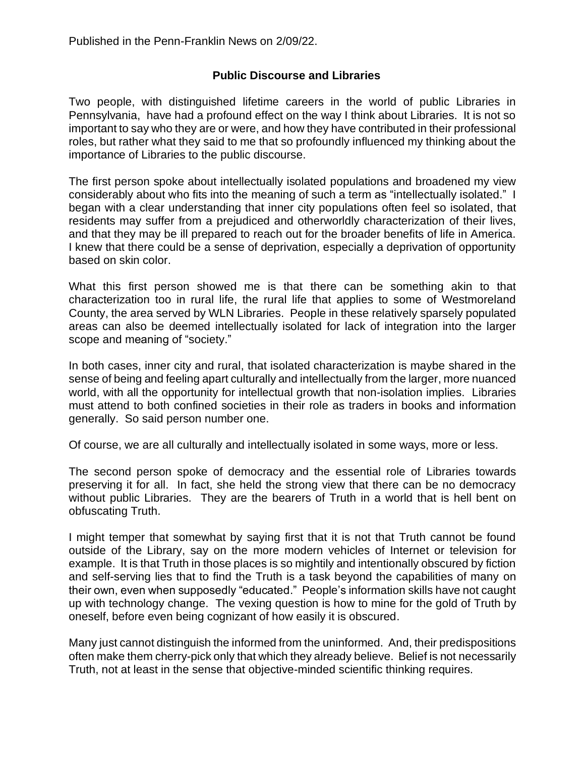## **Public Discourse and Libraries**

Two people, with distinguished lifetime careers in the world of public Libraries in Pennsylvania, have had a profound effect on the way I think about Libraries. It is not so important to say who they are or were, and how they have contributed in their professional roles, but rather what they said to me that so profoundly influenced my thinking about the importance of Libraries to the public discourse.

The first person spoke about intellectually isolated populations and broadened my view considerably about who fits into the meaning of such a term as "intellectually isolated." I began with a clear understanding that inner city populations often feel so isolated, that residents may suffer from a prejudiced and otherworldly characterization of their lives, and that they may be ill prepared to reach out for the broader benefits of life in America. I knew that there could be a sense of deprivation, especially a deprivation of opportunity based on skin color.

What this first person showed me is that there can be something akin to that characterization too in rural life, the rural life that applies to some of Westmoreland County, the area served by WLN Libraries. People in these relatively sparsely populated areas can also be deemed intellectually isolated for lack of integration into the larger scope and meaning of "society."

In both cases, inner city and rural, that isolated characterization is maybe shared in the sense of being and feeling apart culturally and intellectually from the larger, more nuanced world, with all the opportunity for intellectual growth that non-isolation implies. Libraries must attend to both confined societies in their role as traders in books and information generally. So said person number one.

Of course, we are all culturally and intellectually isolated in some ways, more or less.

The second person spoke of democracy and the essential role of Libraries towards preserving it for all. In fact, she held the strong view that there can be no democracy without public Libraries. They are the bearers of Truth in a world that is hell bent on obfuscating Truth.

I might temper that somewhat by saying first that it is not that Truth cannot be found outside of the Library, say on the more modern vehicles of Internet or television for example. It is that Truth in those places is so mightily and intentionally obscured by fiction and self-serving lies that to find the Truth is a task beyond the capabilities of many on their own, even when supposedly "educated." People's information skills have not caught up with technology change. The vexing question is how to mine for the gold of Truth by oneself, before even being cognizant of how easily it is obscured.

Many just cannot distinguish the informed from the uninformed. And, their predispositions often make them cherry-pick only that which they already believe. Belief is not necessarily Truth, not at least in the sense that objective-minded scientific thinking requires.